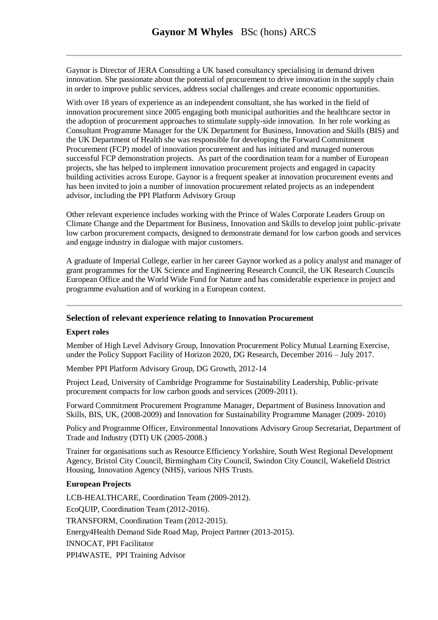Gaynor is Director of JERA Consulting a UK based consultancy specialising in demand driven innovation. She passionate about the potential of procurement to drive innovation in the supply chain in order to improve public services, address social challenges and create economic opportunities.

With over 18 years of experience as an independent consultant, she has worked in the field of innovation procurement since 2005 engaging both municipal authorities and the healthcare sector in the adoption of procurement approaches to stimulate supply-side innovation. In her role working as Consultant Programme Manager for the UK Department for Business, Innovation and Skills (BIS) and the UK Department of Health she was responsible for developing the Forward Commitment Procurement (FCP) model of innovation procurement and has initiated and managed numerous successful FCP demonstration projects. As part of the coordination team for a number of European projects, she has helped to implement innovation procurement projects and engaged in capacity building activities across Europe. Gaynor is a frequent speaker at innovation procurement events and has been invited to join a number of innovation procurement related projects as an independent advisor, including the PPI Platform Advisory Group

Other relevant experience includes working with the Prince of Wales Corporate Leaders Group on Climate Change and the Department for Business, Innovation and Skills to develop joint public-private low carbon procurement compacts, designed to demonstrate demand for low carbon goods and services and engage industry in dialogue with major customers.

A graduate of Imperial College, earlier in her career Gaynor worked as a policy analyst and manager of grant programmes for the UK Science and Engineering Research Council, the UK Research Councils European Office and the World Wide Fund for Nature and has considerable experience in project and programme evaluation and of working in a European context.

## **Selection of relevant experience relating to Innovation Procurement**

## **Expert roles**

Member of High Level Advisory Group, Innovation Procurement Policy Mutual Learning Exercise, under the Policy Support Facility of Horizon 2020, DG Research, December 2016 – July 2017.

Member PPI Platform Advisory Group, DG Growth, 2012-14

Project Lead, University of Cambridge Programme for Sustainability Leadership, Public-private procurement compacts for low carbon goods and services (2009-2011).

Forward Commitment Procurement Programme Manager, Department of Business Innovation and Skills, BIS, UK, (2008-2009) and Innovation for Sustainability Programme Manager (2009- 2010)

Policy and Programme Officer, Environmental Innovations Advisory Group Secretariat, Department of Trade and Industry (DTI) UK (2005-2008.)

Trainer for organisations such as Resource Efficiency Yorkshire, South West Regional Development Agency, Bristol City Council, Birmingham City Council, Swindon City Council, Wakefield District Housing, Innovation Agency (NHS), various NHS Trusts.

## **European Projects**

LCB-HEALTHCARE, Coordination Team (2009-2012). EcoQUIP, Coordination Team (2012-2016). TRANSFORM, Coordination Team (2012-2015). Energy4Health Demand Side Road Map, Project Partner (2013-2015). INNOCAT, PPI Facilitator PPI4WASTE, PPI Training Advisor